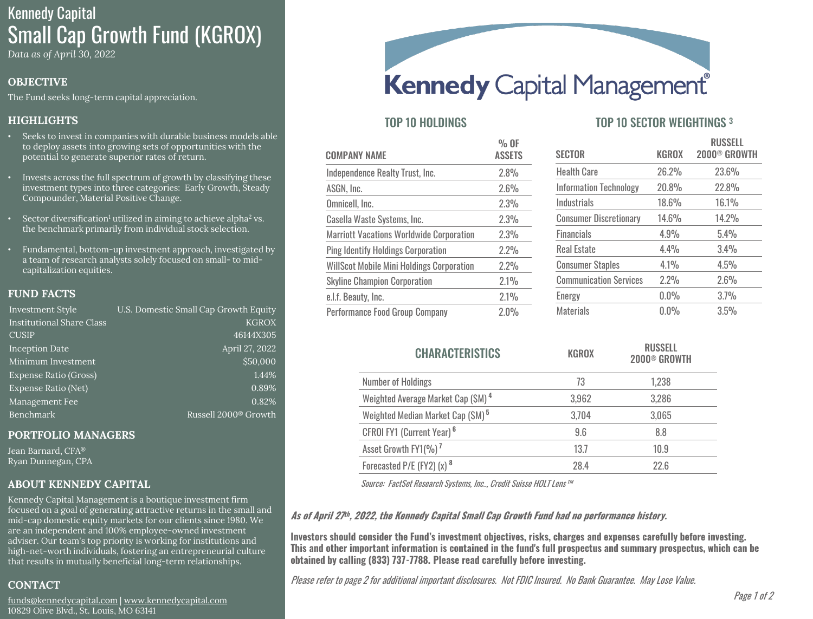# Kennedy Capital Small Cap Growth Fund (KGROX)

*Data as of April 30, 2022*

# **OBJECTIVE**

The Fund seeks long-term capital appreciation.

# **HIGHLIGHTS**

- Seeks to invest in companies with durable business models able to deploy assets into growing sets of opportunities with the potential to generate superior rates of return.
- Invests across the full spectrum of growth by classifying these investment types into three categories: Early Growth, Steady Compounder, Material Positive Change.
- Sector diversification<sup>1</sup> utilized in aiming to achieve alpha<sup>2</sup> vs. the benchmark primarily from individual stock selection.
- Fundamental, bottom-up investment approach, investigated by a team of research analysts solely focused on small- to midcapitalization equities.

## **FUND FACTS**

| <b>Investment Style</b>          | U.S. Domestic Small Cap Growth Equity |
|----------------------------------|---------------------------------------|
| <b>Institutional Share Class</b> | <b>KGROX</b>                          |
| <b>CUSIP</b>                     | 46144X305                             |
| <b>Inception Date</b>            | April 27, 2022                        |
| Minimum Investment               | \$50,000                              |
| Expense Ratio (Gross)            | 1.44%                                 |
| <b>Expense Ratio (Net)</b>       | 0.89%                                 |
| Management Fee                   | 0.82%                                 |
| <b>Benchmark</b>                 | Russell 2000 <sup>®</sup> Growth      |

#### **PORTFOLIO MANAGERS**

Jean Barnard, CFA® Ryan Dunnegan, CPA

## **ABOUT KENNEDY CAPITAL**

Kennedy Capital Management is a boutique investment firm focused on a goal of generating attractive returns in the small and mid-cap domestic equity markets for our clients since 1980. We are an independent and 100% employee-owned investment adviser. Our team's top priority is working for institutions and high-net-worth individuals, fostering an entrepreneurial culture that results in mutually beneficial long-term relationships.

# **CONTACT**

[funds@kennedycapital.com](mailto:funds@kennedycapital.com) | [www.kennedycapital.com](http://www.kennedycapital.com/) 10829 Olive Blvd., St. Louis, MO 63141



| <b>COMPANY NAME</b>                              | % OF<br><b>ASSETS</b> |
|--------------------------------------------------|-----------------------|
| Independence Realty Trust, Inc.                  | 2.8%                  |
| ASGN, Inc.                                       | 2.6%                  |
| Omnicell, Inc.                                   | 2.3%                  |
| Casella Waste Systems, Inc.                      | 2.3%                  |
| <b>Marriott Vacations Worldwide Corporation</b>  | 2.3%                  |
| <b>Ping Identify Holdings Corporation</b>        | 2.2%                  |
| <b>WillScot Mobile Mini Holdings Corporation</b> | 2.2%                  |
| <b>Skyline Champion Corporation</b>              | 2.1%                  |
| e.l.f. Beauty, Inc.                              | 2.1%                  |
| Performance Food Group Company                   | 2.0%                  |

# TOP 10 HOLDINGS TOP 10 SECTOR WEIGHTINGS 3

| <b>SECTOR</b>                 | <b>KGROX</b> | <b>RUSSELL</b><br>2000 <sup>®</sup> GROWTH |
|-------------------------------|--------------|--------------------------------------------|
| <b>Health Care</b>            | 26.2%        | 23.6%                                      |
| <b>Information Technology</b> | 20.8%        | 22.8%                                      |
| Industrials                   | 18.6%        | 16.1%                                      |
| <b>Consumer Discretionary</b> | 14.6%        | 14.2%                                      |
| <b>Financials</b>             | 4.9%         | 5.4%                                       |
| <b>Real Estate</b>            | 4.4%         | 3.4%                                       |
| <b>Consumer Staples</b>       | 4.1%         | 4.5%                                       |
| <b>Communication Services</b> | 2.2%         | 2.6%                                       |
| Energy                        | 0.0%         | 3.7%                                       |
| <b>Materials</b>              | $0.0\%$      | 3.5%                                       |

| <b>CHARACTERISTICS</b>                        | <b>KGROX</b> | <b>RUSSELL</b><br>2000 <sup>®</sup> GROWTH |
|-----------------------------------------------|--------------|--------------------------------------------|
| <b>Number of Holdings</b>                     | 73           | 1,238                                      |
| Weighted Average Market Cap (SM) <sup>4</sup> | 3,962        | 3,286                                      |
| Weighted Median Market Cap (\$M) <sup>5</sup> | 3,704        | 3,065                                      |
| CFROI FY1 (Current Year) <sup>6</sup>         | 9.6          | 8.8                                        |
| Asset Growth FY1(%) <sup>7</sup>              | 13.7         | 10.9                                       |
| Forecasted P/E (FY2) (x) 8                    | 28.4         | 22.6                                       |

Source: FactSet Research Systems, Inc.., Credit Suisse HOLT Lens™

## **As of April 27 th , 2022, the Kennedy Capital Small Cap Growth Fund had no performance history.**

**Investors should consider the Fund's investment objectives, risks, charges and expenses carefully before investing. This and other important information is contained in the fund's full prospectus and summary prospectus, which can be obtained by calling (833) 737-7788. Please read carefully before investing.** 

Please refer to page 2 for additional important disclosures. Not FDIC Insured. No Bank Guarantee. May Lose Value.